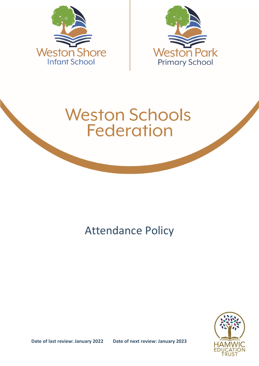



# **Weston Schools Federation**

# Attendance Policy

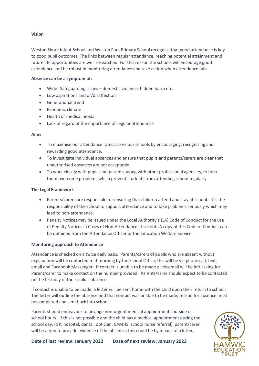#### **Vision**

Weston Shore Infant School and Weston Park Primary School recognise that good attendance is key to good pupil outcomes. The links between regular attendance, reaching potential attainment and future life opportunities are well researched. For this reason the schools will encourage good attendance and be robust in monitoring attendance and take action when attendance fails.

#### **Absence can be a symptom of:**

- Wider Safeguarding issues domestic violence, hidden harm etc.
- Low aspirations and or/disaffection
- Generational trend
- Economic climate
- Health or medical needs
- Lack of regard of the importance of regular attendance

#### **Aims**

- To maximise our attendance rates across our schools by encouraging, recognising and rewarding good attendance.
- To investigate individual absences and ensure that pupils and parents/carers are clear that unauthorised absences are not acceptable.
- To work closely with pupils and parents, along with other professional agencies, to help them overcome problems which prevent students from attending school regularly.

#### **The Legal Framework**

- Parents/carers are responsible for ensuring that children attend and stay at school. It is the responsibility of the school to support attendance and to take problems seriously which may lead to non-attendance.
- Penalty Notices may be issued under the Local Authority's (LA) Code of Conduct for the use of Penalty Notices in Cases of Non-Attendance at school. A copy of this Code of Conduct can be obtained from the Attendance Officer or the Education Welfare Service.

#### **Monitoring approach to Attendance**

Attendance is checked on a twice daily basis. Parents/carers of pupils who are absent without explanation will be contacted mid-morning by the School Office, this will be via phone call, text, email and Facebook Messenger. If contact is unable to be made a voicemail will be left asking for Parent/carer to make contact on the number provided. Parents/carer should expect to be contacted on the first day of their child's absence.

If contact is unable to be made, a letter will be sent home with the child upon their return to school. The letter will outline the absence and that contact was unable to be made, reason for absence must be completed and sent back into school.

Parents should endeavour to arrange non-urgent medical appointments outside of school hours. If this is not possible and the child has a medical appointment during the school day, (GP, hospital, dental, optician, CAMHS, school nurse referral), parent/carer will be asked to provide evidence of the absence; this could be by means of a letter,

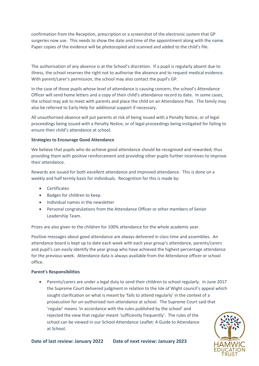confirmation from the Reception, prescription or a screenshot of the electronic system that GP surgeries now use. This needs to show the date and time of the appointment along with the name. Paper copies of the evidence will be photocopied and scanned and added to the child's file.

The authorisation of any absence is at the School's discretion. If a pupil is regularly absent due to illness, the school reserves the right not to authorise the absence and to request medical evidence. With parent/carer's permission, the school may also contact the pupil's GP.

In the case of those pupils whose level of attendance is causing concern, the school's Attendance Officer will send home letters and a copy of their child's attendance record to date. In some cases, the school may ask to meet with parents and place the child on an Attendance Plan. The family may also be referred to Early Help for additional support if necessary.

All unauthorised absence will put parents at risk of being issued with a Penalty Notice, or of legal proceedings being issued with a Penalty Notice, or of legal proceedings being instigated for failing to ensure their child's attendance at school.

#### **Strategies to Encourage Good Attendance**

We believe that pupils who do achieve good attendance should be recognised and rewarded; thus providing them with positive reinforcement and providing other pupils further incentives to improve their attendance.

Rewards are issued for both excellent attendance and improved attendance. This is done on a weekly and half termly basis for individuals. Recognition for this is made by:

- **•** Certificates
- Badges for children to keep.
- Individual names in the newsletter
- Personal congratulations from the Attendance Officer or other members of Senior Leadership Team.

Prizes are also given to the children for 100% attendance for the whole academic year.

Positive messages about good attendance are always delivered in class time and assemblies. An attendance board is kept up to date each week with each year group's attendance, parents/carers and pupil's can easily identify the year group who have achieved the highest percentage attendance for the previous week. Attendance data is always available from the Attendance officer or school office.

#### **Parent's Responsibilities**

 Parents/carers are under a legal duty to send their children to school regularly. In June 2017 the Supreme Court delivered judgment in relation to the Isle of Wight council's appeal which sought clarification on what is meant by 'fails to attend regularly' in the context of a prosecution for un-authorised non-attendance at school. The Supreme Court said that 'regular' means 'in accordance with the rules published by the school' and rejected the view that regular meant 'sufficiently frequently'. The rules of the school can be viewed in our School Attendance Leaflet: A Guide to Attendance at School.

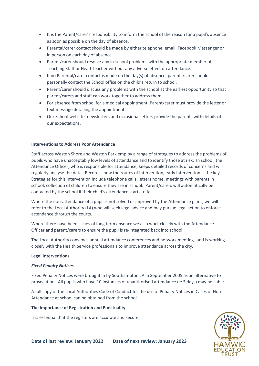- It is the Parent/carer's responsibility to inform the school of the reason for a pupil's absence as soon as possible on the day of absence.
- Parental/carer contact should be made by either telephone, email, Facebook Messenger or in person on each day of absence.
- Parent/carer should resolve any in-school problems with the appropriate member of Teaching Staff or Head Teacher without any adverse effect on attendance.
- If no Parental/carer contact is made on the day(s) of absence, parents/carer should personally contact the School office on the child's return to school.
- Parent/carer should discuss any problems with the school at the earliest opportunity so that parent/carers and staff can work together to address them.
- For absence from school for a medical appointment, Parent/carer must provide the letter or text message detailing the appointment.
- Our School website, newsletters and occasional letters provide the parents with details of our expectations.

#### **Interventions to Address Poor Attendance**

Staff across Weston Shore and Weston Park employ a range of strategies to address the problems of pupils who have unacceptably low levels of attendance and to identify those at risk. In school, the Attendance Officer, who is responsible for attendance, keeps detailed records of concerns and will regularly analyse the data. Records show the routes of intervention, early intervention is the key. Strategies for this intervention include telephone calls, letters home, meetings with parents in school, collection of children to ensure they are in school. Parent/carers will automatically be contacted by the school if their child's attendance starts to fall.

Where the non-attendance of a pupil is not solved or improved by the Attendance plans, we will refer to the Local Authority (LA) who will seek legal advice and may pursue legal action to enforce attendance through the courts.

Where there have been issues of long term absence we also work closely with the Attendance Officer and parent/carers to ensure the pupil is re-integrated back into school.

The Local Authority convenes annual attendance conferences and network meetings and is working closely with the Health Service professionals to improve attendance across the city.

#### **Legal Interventions**

#### *Fixed Penalty Notices*

Fixed Penalty Notices were brought in by Southampton LA in September 2005 as an alternative to prosecution. All pupils who have 10 instances of unauthorised attendance (ie 5 days) may be liable.

A full copy of the Local Authorities Code of Conduct for the use of Penalty Notices in Cases of Non-Attendance at school can be obtained from the school.

#### **The Importance of Registration and Punctuality**

It is essential that the registers are accurate and secure.

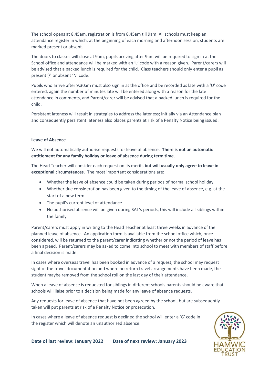The school opens at 8.45am, registration is from 8.45am till 9am. All schools must keep an attendance register in which, at the beginning of each morning and afternoon session, students are marked present or absent.

The doors to classes will close at 9am, pupils arriving after 9am will be required to sign in at the School office and attendance will be marked with an 'L' code with a reason given. Parent/carers will be advised that a packed lunch is required for the child. Class teachers should only enter a pupil as present '/' or absent 'N' code.

Pupils who arrive after 9.30am must also sign in at the office and be recorded as late with a 'U' code entered, again the number of minutes late will be entered along with a reason for the late attendance in comments, and Parent/carer will be advised that a packed lunch is required for the child.

Persistent lateness will result in strategies to address the lateness; initially via an Attendance plan and consequently persistent lateness also places parents at risk of a Penalty Notice being issued.

#### **Leave of Absence**

We will not automatically authorise requests for leave of absence. **There is not an automatic entitlement for any family holiday or leave of absence during term time.**

The Head Teacher will consider each request on its merits **but will usually only agree to leave in exceptional circumstances.** The most important considerations are:

- Whether the leave of absence could be taken during periods of normal school holiday
- Whether due consideration has been given to the timing of the leave of absence, e.g. at the start of a new term
- The pupil's current level of attendance
- No authorised absence will be given during SAT's periods, this will include all siblings within the family

Parent/carers must apply in writing to the Head Teacher at least three weeks in advance of the planned leave of absence. An application form is available from the school office which, once considered, will be returned to the parent/carer indicating whether or not the period of leave has been agreed. Parent/carers may be asked to come into school to meet with members of staff before a final decision is made.

In cases where overseas travel has been booked in advance of a request, the school may request sight of the travel documentation and where no return travel arrangements have been made, the student maybe removed from the school roll on the last day of their attendance.

When a leave of absence is requested for siblings in different schools parents should be aware that schools will liaise prior to a decision being made for any leave of absence requests.

Any requests for leave of absence that have not been agreed by the school, but are subsequently taken will put parents at risk of a Penalty Notice or prosecution.

In cases where a leave of absence request is declined the school will enter a 'G' code in the register which will denote an unauthorised absence.

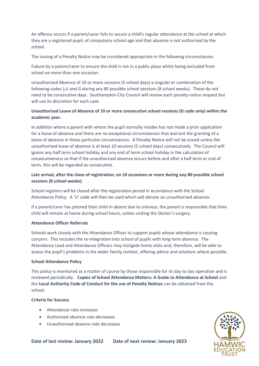An offence occurs if a parent/carer fails to secure a child's regular attendance at the school at which they are a registered pupil, of compulsory school age and that absence is not authorised by the school.

The issuing of a Penalty Notice may be considered appropriate in the following circumstances:

Failure by a parent/carer to ensure the child is not in a public place whilst being excluded from school on more than one occasion.

Unauthorised Absence of 10 or more sessions (5 school days) a singular or combination of the following codes ),U and G during any 80 possible school sessions (8 school weeks). These do not need to be consecutive days. Southampton City Council will review each penalty notice request but will use its discretion for each case.

# **Unauthorised Leave of Absence of 10 or more consecutive school sessions (G code only) within the academic year.**

In addition where a parent with whom the pupil normally resides has not made a prior application for a leave of absence and there are no exceptional circumstances that warrant the granting of a leave of absence in those particular circumstances. A Penalty Notice will not be issued unless the unauthorised leave of absence is at least 10 sessions (5 school days) consecutively. The Council will ignore any half term school holiday and any end of term school holiday in the calculation of consecutiveness so that if the unauthorised absence occurs before and after a half term or end of term, this will be regarded as consecutive.

# **Late arrival, after the close of registration, on 10 occasions or more during any 80 possible school sessions (8 school weeks)**.

School registers will be closed after the registration period in accordance with the School Attendance Policy. A 'U' code will then be used which will denote an unauthorised absence.

If a parent/carer has phoned their child in absent due to sickness, the parent is responsible that their child will remain at home during school hours, unless visiting the Doctor's surgery.

## **Attendance Officer Referrals**

Schools work closely with the Attendance Officer to support pupils whose attendance is causing concern. This includes the re-integration into school of pupils with long term absence. The Attendance Lead and Attendance Officers may instigate home visits and, therefore, will be able to assess the pupil's problems in the wider family context, offering advice and solutions where possible.

#### **School Attendance Policy**

This policy is monitored as a matter of course by those responsible for its day to day operation and is reviewed periodically. **Copies of School Attendance Matters: A Guide to Attendance at School** and the **Local Authority Code of Conduct for the use of Penalty Notices** can be obtained from the school.

## **Criteria for Success**

- Attendance rate increases
- Authorised absence rate decreases
- Unauthorised absence rate decreases

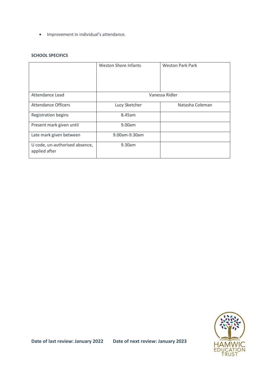• Improvement in individual's attendance.

#### **SCHOOL SPECIFICS**

|                                                 | <b>Weston Shore Infants</b> | <b>Weston Park Park</b> |
|-------------------------------------------------|-----------------------------|-------------------------|
| Attendance Lead                                 | Vanessa Ridler              |                         |
| <b>Attendance Officers</b>                      | Lucy Sketcher               | Natasha Coleman         |
| <b>Registration begins</b>                      | 8.45am                      |                         |
| Present mark given until                        | 9.00am                      |                         |
| Late mark given between                         | 9.00am-9.30am               |                         |
| U code, un-authorised absence,<br>applied after | 9.30am                      |                         |